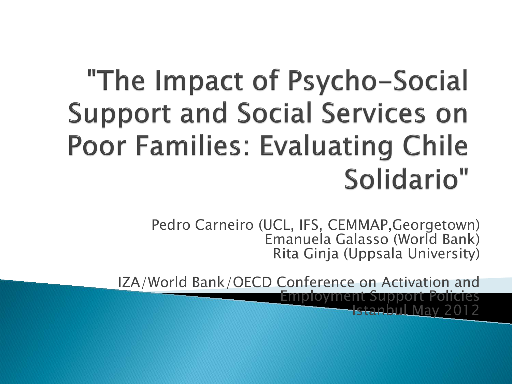# "The Impact of Psycho-Social **Support and Social Services on Poor Families: Evaluating Chile** Solidario"

Pedro Carneiro (UCL, IFS, CEMMAP,Georgetown) Emanuela Galasso (World Bank) Rita Ginja (Uppsala University)

IZA/World Bank/OECD Conference on Activation and Employment Support Policies Istanbul May 2012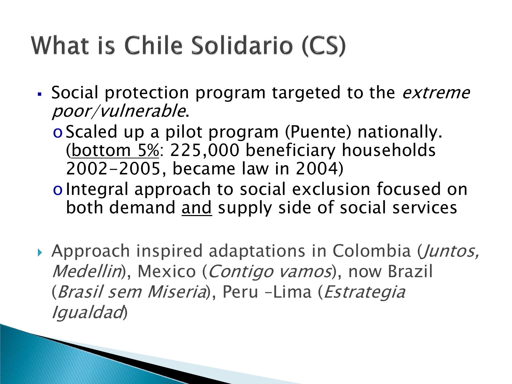# What is Chile Solidario (CS)

Social protection program targeted to the *extreme* poor/vulnerable.

oScaled up a pilot program (Puente) nationally. (bottom 5%: 225,000 beneficiary households 2002-2005, became law in 2004)

oIntegral approach to social exclusion focused on both demand and supply side of social services

Approach inspired adaptations in Colombia (*Juntos*, Medellin), Mexico (*Contigo vamos*), now Brazil (Brasil sem Miseria), Peru –Lima (Estrategia Igualdad)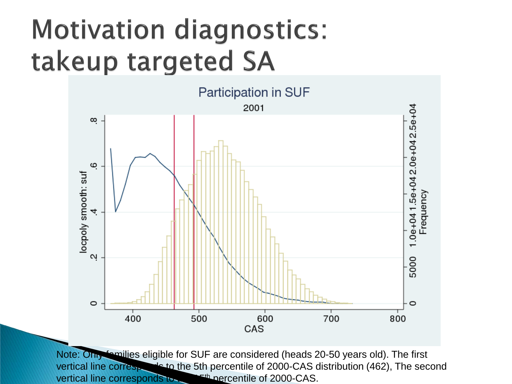# **Motivation diagnostics:** takeup targeted SA



Note: Only families eligible for SUF are considered (heads 20-50 years old). The first vertical line corresponds to the 5th percentile of 2000-CAS distribution (462), The second vertical line corresponds to the 15th percentile of 2000-CAS.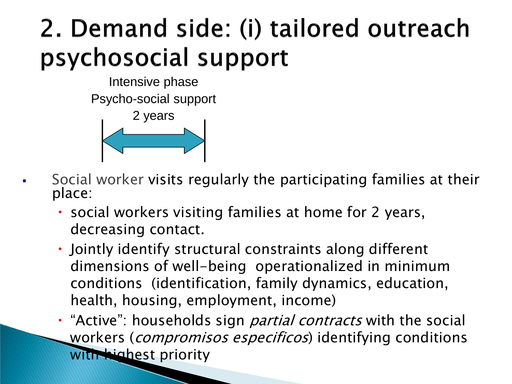### 2. Demand side: (i) tailored outreach psychosocial support

Intensive phase Psycho-social support



- Social worker visits regularly the participating families at their<br>place:
	- social workers visiting families at home for 2 years, decreasing contact.
	- Jointly identify structural constraints along different dimensions of well-being operationalized in minimum conditions (identification, family dynamics, education, health, housing, employment, income)
	- "Active": households sign *partial contracts* with the social workers (*compromisos especificos*) identifying conditions with highest priority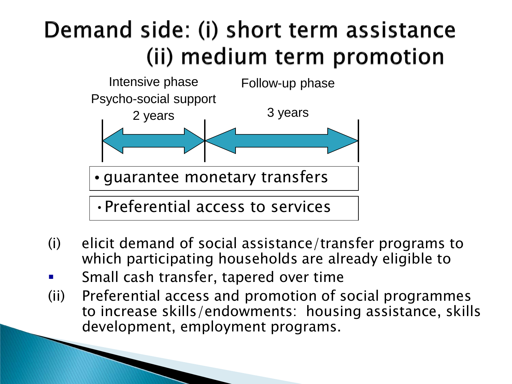#### Demand side: (i) short term assistance (ii) medium term promotion



- (i) elicit demand of social assistance/transfer programs to which participating households are already eligible to
- Small cash transfer, tapered over time
- (ii) Preferential access and promotion of social programmes to increase skills/endowments: housing assistance, skills development, employment programs.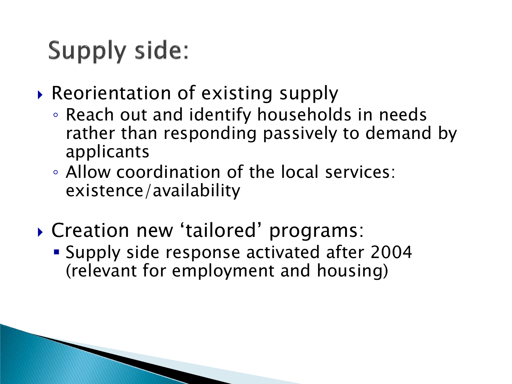## **Supply side:**

- ▶ Reorientation of existing supply
	- Reach out and identify households in needs rather than responding passively to demand by applicants
	- Allow coordination of the local services: existence/availability
- Creation new 'tailored' programs:
	- Supply side response activated after 2004 (relevant for employment and housing)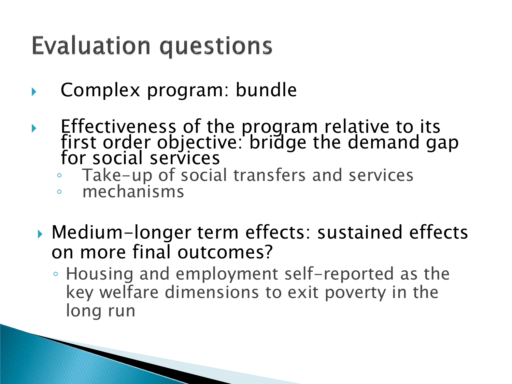#### **Evaluation questions**

- Complex program: bundle
- $\blacktriangleright$  Effectiveness of the program relative to its first order objective: bridge the demand gap for social services
	- Take-up of social transfers and services
	- mechanisms
	- Medium-longer term effects: sustained effects on more final outcomes?
		- Housing and employment self-reported as the key welfare dimensions to exit poverty in the long run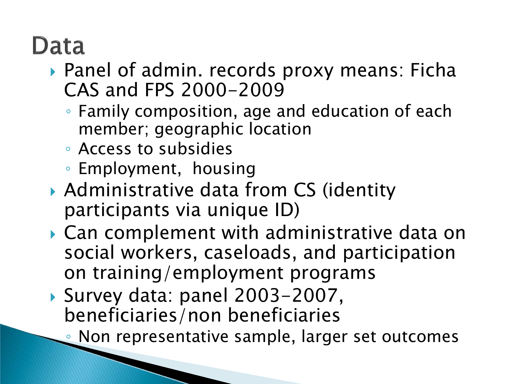#### Data

- ▶ Panel of admin. records proxy means: Ficha CAS and FPS 2000-2009
	- Family composition, age and education of each member; geographic location
	- Access to subsidies
	- Employment, housing
- ▶ Administrative data from CS (identity participants via unique ID)
- ▶ Can complement with administrative data on social workers, caseloads, and participation on training/employment programs
- ▶ Survey data: panel 2003-2007, beneficiaries/non beneficiaries
	- Non representative sample, larger set outcomes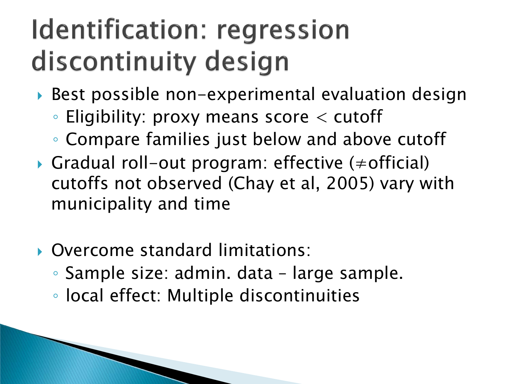# Identification: regression discontinuity design

- ▶ Best possible non-experimental evaluation design
	- Eligibility: proxy means score < cutoff
	- Compare families just below and above cutoff
- Gradual roll-out program: effective (≠official) cutoffs not observed (Chay et al, 2005) vary with municipality and time
- Overcome standard limitations:
	- Sample size: admin. data large sample.
	- local effect: Multiple discontinuities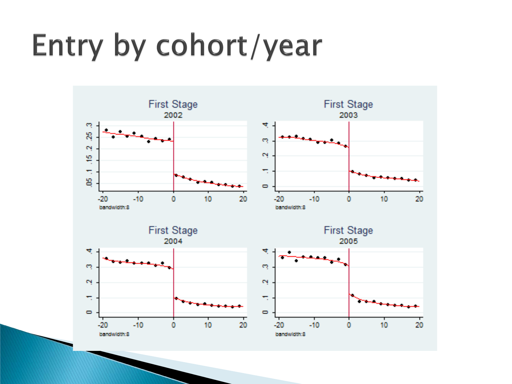# Entry by cohort/year

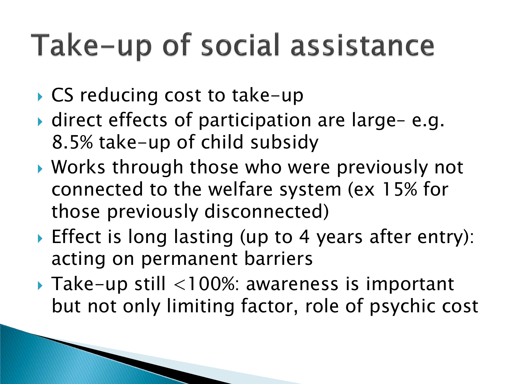# Take-up of social assistance

- ▶ CS reducing cost to take-up
- ▶ direct effects of participation are large-e.g. 8.5% take-up of child subsidy
- Works through those who were previously not connected to the welfare system (ex 15% for those previously disconnected)
- ▶ Effect is long lasting (up to 4 years after entry): acting on permanent barriers
- Take-up still <100%: awareness is important but not only limiting factor, role of psychic cost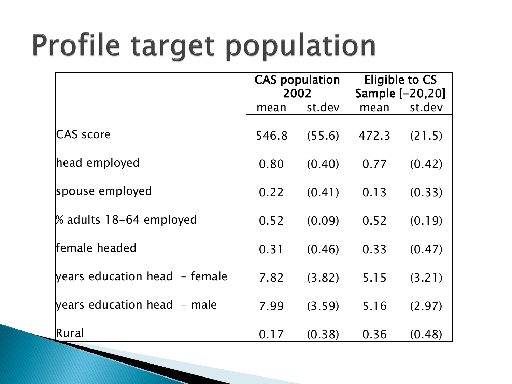# Profile target population

|                                               | <b>CAS</b> population<br>2002 |        | Eligible to CS<br>Sample [-20,20] |        |
|-----------------------------------------------|-------------------------------|--------|-----------------------------------|--------|
|                                               | mean                          | st.dev | mean                              | st.dev |
| CAS score                                     | 546.8                         | (55.6) | 472.3                             | (21.5) |
| head employed                                 | 0.80                          | (0.40) | 0.77                              | (0.42) |
| spouse employed                               | 0.22                          | (0.41) | 0.13                              | (0.33) |
| % adults 18-64 employed                       | 0.52                          | (0.09) | 0.52                              | (0.19) |
| female headed                                 | 0.31                          | (0.46) | 0.33                              | (0.47) |
| years education head - female                 | 7.82                          | (3.82) | 5.15                              | (3.21) |
| $\gamma$ years education head $\gamma$ - male | 7.99                          | (3.59) | 5.16                              | (2.97) |
| Rural                                         | 0.17                          | (0.38) | 0.36                              | (0.48) |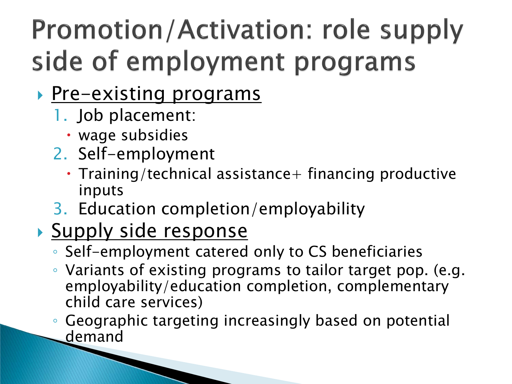# **Promotion/Activation: role supply** side of employment programs

- **Pre-existing programs** 
	- 1. Job placement:
		- wage subsidies
	- 2. Self-employment
		- $\cdot$  Training/technical assistance  $+$  financing productive inputs
	- 3. Education completion/employability

#### Supply side response

- Self-employment catered only to CS beneficiaries
- Variants of existing programs to tailor target pop. (e.g. employability/education completion, complementary child care services)
- Geographic targeting increasingly based on potential demand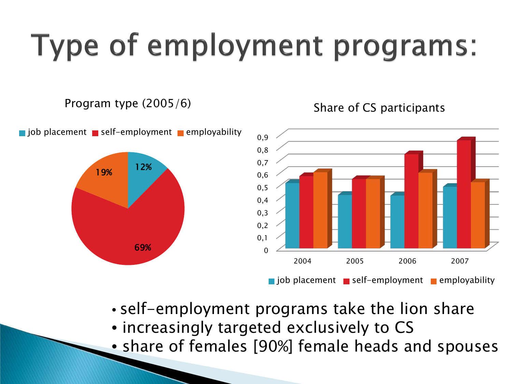# Type of employment programs:

#### Program type (2005/6)

19%

12%

69%



#### Share of CS participants

- self-employment programs take the lion share
- increasingly targeted exclusively to CS
- share of females [90%] female heads and spouses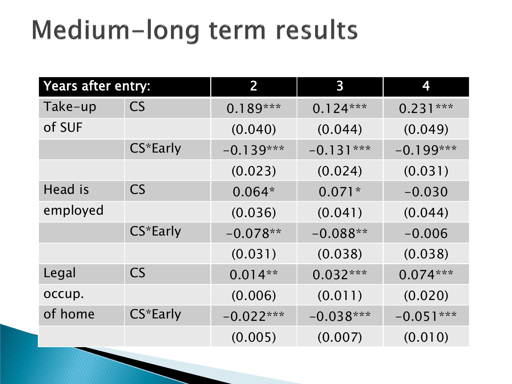# Medium-long term results

| Years after entry: |           | 2           | $\overline{\mathbf{3}}$ | 4           |
|--------------------|-----------|-------------|-------------------------|-------------|
| Take-up            | <b>CS</b> | $0.189***$  | $0.124***$              | $0.231***$  |
| of SUF             |           | (0.040)     | (0.044)                 | (0.049)     |
|                    | CS*Early  | $-0.139***$ | $-0.131***$             | $-0.199***$ |
|                    |           | (0.023)     | (0.024)                 | (0.031)     |
| <b>Head is</b>     | <b>CS</b> | $0.064*$    | $0.071*$                | $-0.030$    |
| employed           |           | (0.036)     | (0.041)                 | (0.044)     |
|                    | CS*Early  | $-0.078**$  | $-0.088**$              | $-0.006$    |
|                    |           | (0.031)     | (0.038)                 | (0.038)     |
| Legal              | CS        | $0.014**$   | $0.032***$              | $0.074***$  |
| occup.             |           | (0.006)     | (0.011)                 | (0.020)     |
| of home            | CS*Early  | $-0.022***$ | $-0.038***$             | $-0.051***$ |
|                    |           | (0.005)     | (0.007)                 | (0.010)     |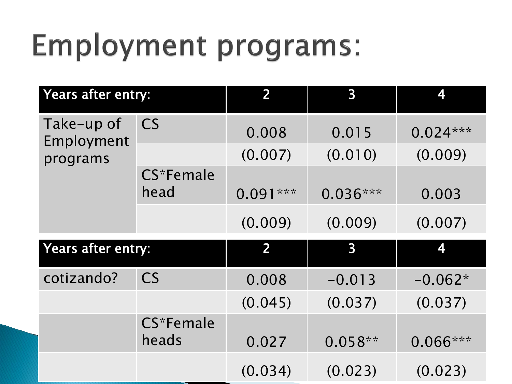# **Employment programs:**

| Years after entry:                   |                    | 2              | $\overline{\mathbf{3}}$ | 4          |
|--------------------------------------|--------------------|----------------|-------------------------|------------|
| Take-up of<br>Employment<br>programs | <b>CS</b>          | 0.008          | 0.015                   | $0.024***$ |
|                                      |                    | (0.007)        | (0.010)                 | (0.009)    |
|                                      | CS*Female<br>head  | $0.091***$     | $0.036***$              | 0.003      |
|                                      |                    | (0.009)        | (0.009)                 | (0.007)    |
| Years after entry:                   |                    | $\overline{2}$ | $\overline{\mathbf{3}}$ | 4          |
| cotizando?                           | <b>CS</b>          | 0.008          | $-0.013$                | $-0.062*$  |
|                                      |                    | (0.045)        | (0.037)                 | (0.037)    |
|                                      | CS*Female<br>heads | 0.027          | $0.058**$               | $0.066***$ |
|                                      |                    | (0.034)        | (0.023)                 | (0.023)    |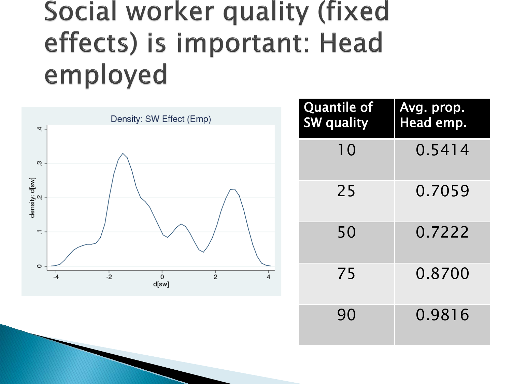## Social worker quality (fixed effects) is important: Head employed



| <b>Quantile of</b><br><b>SW</b> quality | Avg. prop.<br>Head emp. |
|-----------------------------------------|-------------------------|
| 10                                      | 0.5414                  |
| 25                                      | 0.7059                  |
| 50                                      | 0.7222                  |
| 75                                      | 0.8700                  |
| 90                                      | 0.9816                  |